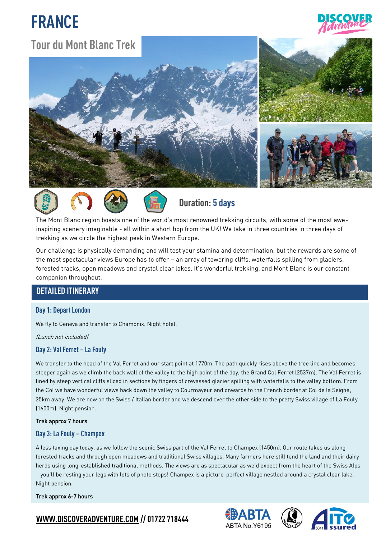# **FRANCE**



## **Tour du Mont BlancTrek**











**Duration: 5 days** 

The Mont Blanc region boasts one of the world's most renowned trekking circuits, with some of the most aweinspiring scenery imaginable - all within a short hop from the UK! We take in three countries in three days of trekking as we circle the highest peak in Western Europe.

Our challenge is physically demanding and will test your stamina and determination, but the rewards are some of the most spectacular views Europe has to offer – an array of towering cliffs, waterfalls spilling from glaciers, forested tracks, open meadows and crystal clear lakes. It's wonderful trekking, and Mont Blanc is our constant companion throughout.

## **DETAILED ITINERARY**

#### **Day 1: Depart London**

We fly to Geneva and transfer to Chamonix. Night hotel.

(Lunch not included)

### **Day 2: Val Ferret – La Fouly**

We transfer to the head of the Val Ferret and our start point at 1770m. The path quickly rises above the tree line and becomes steeper again as we climb the back wall of the valley to the high point of the day, the Grand Col Ferret (2537m). The Val Ferret is lined by steep vertical cliffs sliced in sections by fingers of crevassed glacier spilling with waterfalls to the valley bottom. From the Col we have wonderful views back down the valley to Courmayeur and onwards to the French border at Col de la Seigne, 25km away. We are now on the Swiss / Italian border and we descend over the other side to the pretty Swiss village of La Fouly (1600m). Night pension.

#### Trek approx 7 hours

#### **Day 3: La Fouly – Champex**

A less taxing day today, as we follow the scenic Swiss part of the Val Ferret to Champex (1450m). Our route takes us along forested tracks and through open meadows and traditional Swiss villages. Many farmers here still tend the land and their dairy herds using long-established traditional methods. The views are as spectacular as we'd expect from the heart of the Swiss Alps – you'll be resting your legs with lots of photo stops! Champex is a picture-perfect village nestled around a crystal clear lake. Night pension.

#### Trek approx 6-7 hours







## **[WWW.DISCOVERADVENTURE.COM](http://www.discoveradventure.com/) // 01722 718444**